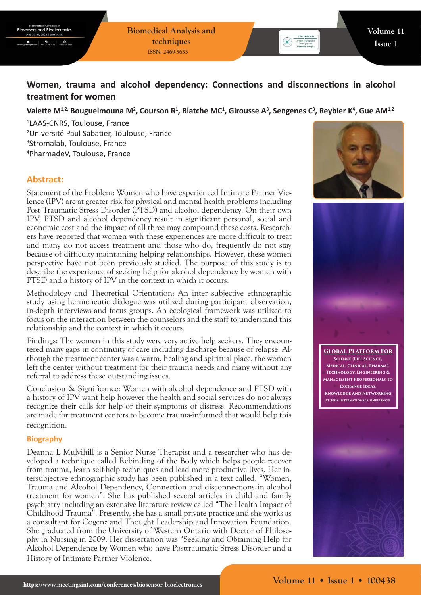# **Women, trauma and alcohol dependency: Connections and disconnections in alcohol treatment for women**

### Valette M<sup>1,2,</sup> Bouguelmouna M<sup>2</sup>, Courson R<sup>1</sup>, Blatche MC<sup>1</sup>, Girousse A<sup>3</sup>, Sengenes C<sup>3</sup>, Reybier K<sup>4</sup>, Gue AM<sup>1,2</sup>

 LAAS-CNRS, Toulouse, France Université Paul Sabatier, Toulouse, France Stromalab, Toulouse, France PharmadeV, Toulouse, France

# **Abstract:**

Statement of the Problem: Women who have experienced Intimate Partner Violence (IPV) are at greater risk for physical and mental health problems including Post Traumatic Stress Disorder (PTSD) and alcohol dependency. On their own IPV, PTSD and alcohol dependency result in significant personal, social and economic cost and the impact of all three may compound these costs. Researchers have reported that women with these experiences are more difficult to treat and many do not access treatment and those who do, frequently do not stay because of difficulty maintaining helping relationships. However, these women perspective have not been previously studied. The purpose of this study is to describe the experience of seeking help for alcohol dependency by women with PTSD and a history of IPV in the context in which it occurs.

Methodology and Theoretical Orientation: An inter subjective ethnographic study using hermeneutic dialogue was utilized during participant observation, in-depth interviews and focus groups. An ecological framework was utilized to focus on the interaction between the counselors and the staff to understand this relationship and the context in which it occurs.

Findings: The women in this study were very active help seekers. They encountered many gaps in continuity of care including discharge because of relapse. Although the treatment center was a warm, healing and spiritual place, the women left the center without treatment for their trauma needs and many without any referral to address these outstanding issues.

Conclusion & Significance: Women with alcohol dependence and PTSD with a history of IPV want help however the health and social services do not always recognize their calls for help or their symptoms of distress. Recommendations are made for treatment centers to become trauma-informed that would help this recognition.

#### **Biography**

Deanna L Mulvihill is a Senior Nurse Therapist and a researcher who has developed a technique called Rebinding of the Body which helps people recover from trauma, learn self-help techniques and lead more productive lives. Her intersubjective ethnographic study has been published in a text called, "Women, Trauma and Alcohol Dependency, Connection and disconnections in alcohol treatment for women". She has published several articles in child and family psychiatry including an extensive literature review called "The Health Impact of Childhood Trauma". Presently, she has a small private practice and she works as a consultant for Cogenz and Thought Leadership and Innovation Foundation. She graduated from the University of Western Ontario with Doctor of Philosophy in Nursing in 2009. Her dissertation was "Seeking and Obtaining Help for Alcohol Dependence by Women who have Posttraumatic Stress Disorder and a History of Intimate Partner Violence.





**Global Platform For Science (Life Science, Medical, Clinical, Pharma), Technology, Engineering & Management Professionals To Exchange Ideas, Knowledge And Networking At 300+ International Conferences**